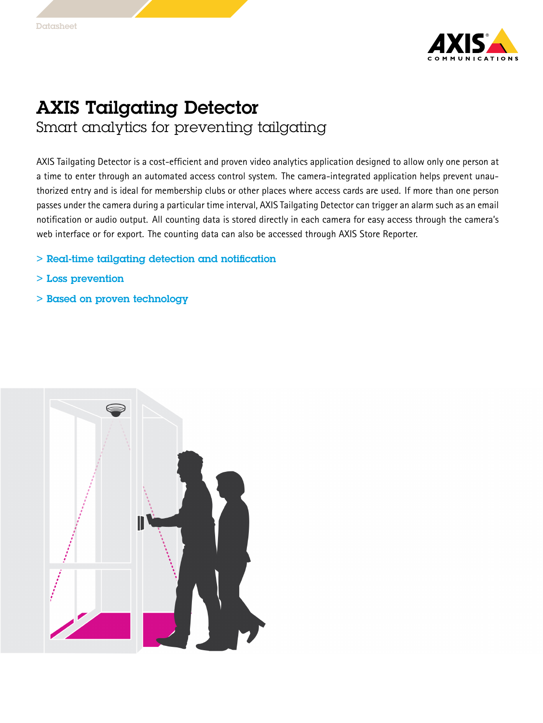

## AXIS Tailgating Detector Smart analytics for preventing tailgating

AXIS Tailgating Detector is <sup>a</sup> cost-efficient and proven video analytics application designed to allow only one person at <sup>a</sup> time to enter through an automated access control system. The camera-integrated application helps prevent unauthorized entry and is ideal for membership clubs or other places where access cards are used. If more than one person passes under the camera during <sup>a</sup> particular time interval, AXIS Tailgating Detector can trigger an alarm such as an email notification or audio output. All counting data is stored directly in each camera for easy access through the camera's web interface or for export. The counting data can also be accessed through AXIS Store Reporter.

- > Real-time tailgating detection and notification
- > Loss prevention
- > Based on proven technology